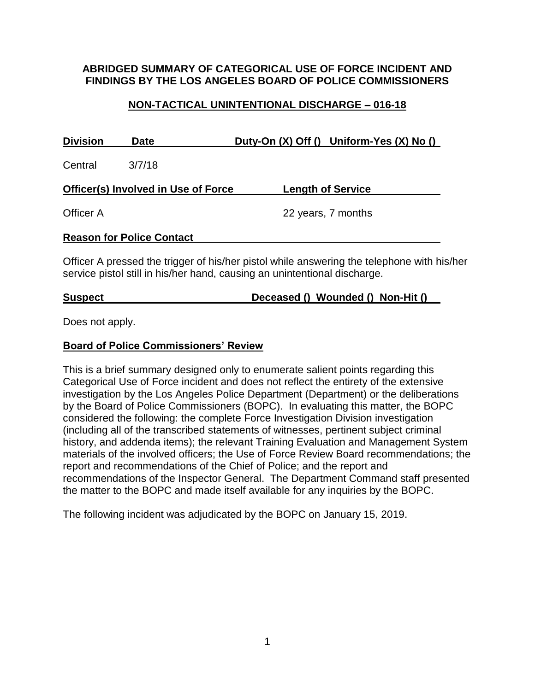#### **ABRIDGED SUMMARY OF CATEGORICAL USE OF FORCE INCIDENT AND FINDINGS BY THE LOS ANGELES BOARD OF POLICE COMMISSIONERS**

## **NON-TACTICAL UNINTENTIONAL DISCHARGE – 016-18**

| <b>Division</b>                            | <b>Date</b>                      | Duty-On $(X)$ Off $()$ Uniform-Yes $(X)$ No $()$ |  |
|--------------------------------------------|----------------------------------|--------------------------------------------------|--|
| Central                                    | 3/7/18                           |                                                  |  |
| <b>Officer(s) Involved in Use of Force</b> |                                  | <b>Length of Service</b>                         |  |
| Officer A                                  |                                  | 22 years, 7 months                               |  |
|                                            | <b>Reason for Police Contact</b> |                                                  |  |

Officer A pressed the trigger of his/her pistol while answering the telephone with his/her service pistol still in his/her hand, causing an unintentional discharge.

## **Suspect Deceased () Wounded () Non-Hit ()**

Does not apply.

### **Board of Police Commissioners' Review**

This is a brief summary designed only to enumerate salient points regarding this Categorical Use of Force incident and does not reflect the entirety of the extensive investigation by the Los Angeles Police Department (Department) or the deliberations by the Board of Police Commissioners (BOPC). In evaluating this matter, the BOPC considered the following: the complete Force Investigation Division investigation (including all of the transcribed statements of witnesses, pertinent subject criminal history, and addenda items); the relevant Training Evaluation and Management System materials of the involved officers; the Use of Force Review Board recommendations; the report and recommendations of the Chief of Police; and the report and recommendations of the Inspector General. The Department Command staff presented the matter to the BOPC and made itself available for any inquiries by the BOPC.

The following incident was adjudicated by the BOPC on January 15, 2019.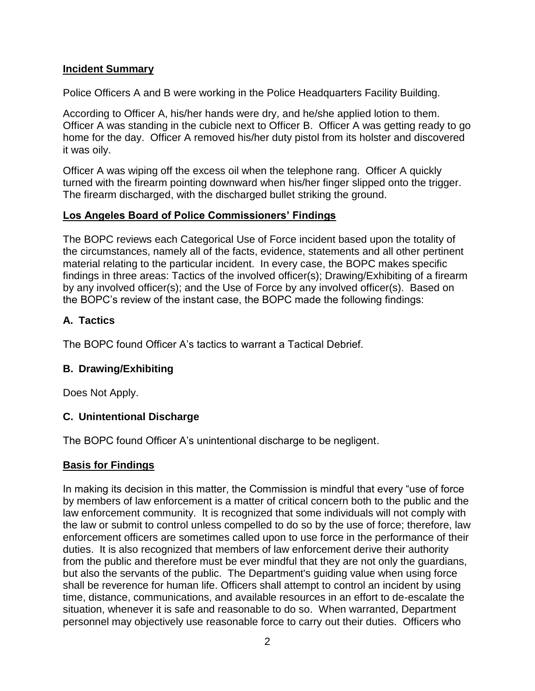#### **Incident Summary**

Police Officers A and B were working in the Police Headquarters Facility Building.

According to Officer A, his/her hands were dry, and he/she applied lotion to them. Officer A was standing in the cubicle next to Officer B. Officer A was getting ready to go home for the day. Officer A removed his/her duty pistol from its holster and discovered it was oily.

Officer A was wiping off the excess oil when the telephone rang. Officer A quickly turned with the firearm pointing downward when his/her finger slipped onto the trigger. The firearm discharged, with the discharged bullet striking the ground.

#### **Los Angeles Board of Police Commissioners' Findings**

The BOPC reviews each Categorical Use of Force incident based upon the totality of the circumstances, namely all of the facts, evidence, statements and all other pertinent material relating to the particular incident. In every case, the BOPC makes specific findings in three areas: Tactics of the involved officer(s); Drawing/Exhibiting of a firearm by any involved officer(s); and the Use of Force by any involved officer(s). Based on the BOPC's review of the instant case, the BOPC made the following findings:

### **A. Tactics**

The BOPC found Officer A's tactics to warrant a Tactical Debrief.

### **B. Drawing/Exhibiting**

Does Not Apply.

### **C. Unintentional Discharge**

The BOPC found Officer A's unintentional discharge to be negligent.

### **Basis for Findings**

In making its decision in this matter, the Commission is mindful that every "use of force by members of law enforcement is a matter of critical concern both to the public and the law enforcement community. It is recognized that some individuals will not comply with the law or submit to control unless compelled to do so by the use of force; therefore, law enforcement officers are sometimes called upon to use force in the performance of their duties. It is also recognized that members of law enforcement derive their authority from the public and therefore must be ever mindful that they are not only the guardians, but also the servants of the public. The Department's guiding value when using force shall be reverence for human life. Officers shall attempt to control an incident by using time, distance, communications, and available resources in an effort to de-escalate the situation, whenever it is safe and reasonable to do so. When warranted, Department personnel may objectively use reasonable force to carry out their duties. Officers who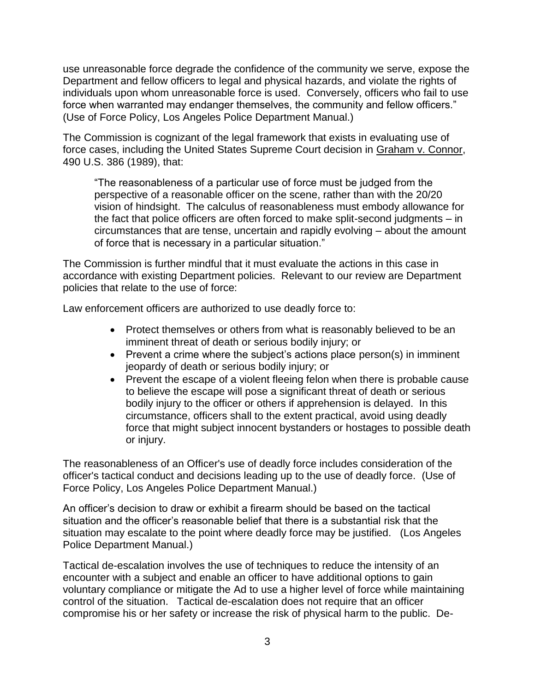use unreasonable force degrade the confidence of the community we serve, expose the Department and fellow officers to legal and physical hazards, and violate the rights of individuals upon whom unreasonable force is used. Conversely, officers who fail to use force when warranted may endanger themselves, the community and fellow officers." (Use of Force Policy, Los Angeles Police Department Manual.)

The Commission is cognizant of the legal framework that exists in evaluating use of force cases, including the United States Supreme Court decision in Graham v. Connor, 490 U.S. 386 (1989), that:

"The reasonableness of a particular use of force must be judged from the perspective of a reasonable officer on the scene, rather than with the 20/20 vision of hindsight. The calculus of reasonableness must embody allowance for the fact that police officers are often forced to make split-second judgments – in circumstances that are tense, uncertain and rapidly evolving – about the amount of force that is necessary in a particular situation."

The Commission is further mindful that it must evaluate the actions in this case in accordance with existing Department policies. Relevant to our review are Department policies that relate to the use of force:

Law enforcement officers are authorized to use deadly force to:

- Protect themselves or others from what is reasonably believed to be an imminent threat of death or serious bodily injury; or
- Prevent a crime where the subject's actions place person(s) in imminent jeopardy of death or serious bodily injury; or
- Prevent the escape of a violent fleeing felon when there is probable cause to believe the escape will pose a significant threat of death or serious bodily injury to the officer or others if apprehension is delayed. In this circumstance, officers shall to the extent practical, avoid using deadly force that might subject innocent bystanders or hostages to possible death or injury.

The reasonableness of an Officer's use of deadly force includes consideration of the officer's tactical conduct and decisions leading up to the use of deadly force. (Use of Force Policy, Los Angeles Police Department Manual.)

An officer's decision to draw or exhibit a firearm should be based on the tactical situation and the officer's reasonable belief that there is a substantial risk that the situation may escalate to the point where deadly force may be justified. (Los Angeles Police Department Manual.)

Tactical de-escalation involves the use of techniques to reduce the intensity of an encounter with a subject and enable an officer to have additional options to gain voluntary compliance or mitigate the Ad to use a higher level of force while maintaining control of the situation. Tactical de-escalation does not require that an officer compromise his or her safety or increase the risk of physical harm to the public. De-